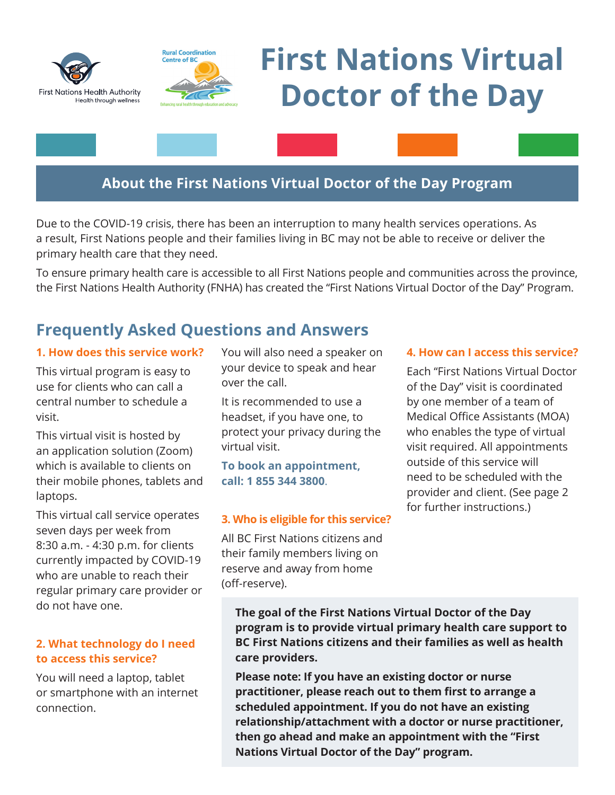



# **First Nations Virtual Doctor of the Day**

### **About the First Nations Virtual Doctor of the Day Program**

Due to the COVID-19 crisis, there has been an interruption to many health services operations. As a result, First Nations people and their families living in BC may not be able to receive or deliver the primary health care that they need.

To ensure primary health care is accessible to all First Nations people and communities across the province, the First Nations Health Authority (FNHA) has created the "First Nations Virtual Doctor of the Day" Program.

## **Frequently Asked Questions and Answers**

#### **1. How does this service work?**

This virtual program is easy to use for clients who can call a central number to schedule a visit.

This virtual visit is hosted by an application solution (Zoom) which is available to clients on their mobile phones, tablets and laptops.

This virtual call service operates seven days per week from 8:30 a.m. - 4:30 p.m. for clients currently impacted by COVID-19 who are unable to reach their regular primary care provider or do not have one.

#### **2. What technology do I need to access this service?**

You will need a laptop, tablet or smartphone with an internet connection.

You will also need a speaker on your device to speak and hear over the call.

It is recommended to use a headset, if you have one, to protect your privacy during the virtual visit.

**To book an appointment, call: 1 855 344 3800**.

#### **3. Who is eligible for this service?**

All BC First Nations citizens and their family members living on reserve and away from home (off-reserve).

#### **4. How can I access this service?**

Each "First Nations Virtual Doctor of the Day" visit is coordinated by one member of a team of Medical Office Assistants (MOA) who enables the type of virtual visit required. All appointments outside of this service will need to be scheduled with the provider and client. (See page 2 for further instructions.)

**The goal of the First Nations Virtual Doctor of the Day program is to provide virtual primary health care support to BC First Nations citizens and their families as well as health care providers.**

**Please note: If you have an existing doctor or nurse practitioner, please reach out to them first to arrange a scheduled appointment. If you do not have an existing relationship/attachment with a doctor or nurse practitioner, then go ahead and make an appointment with the "First Nations Virtual Doctor of the Day" program.**